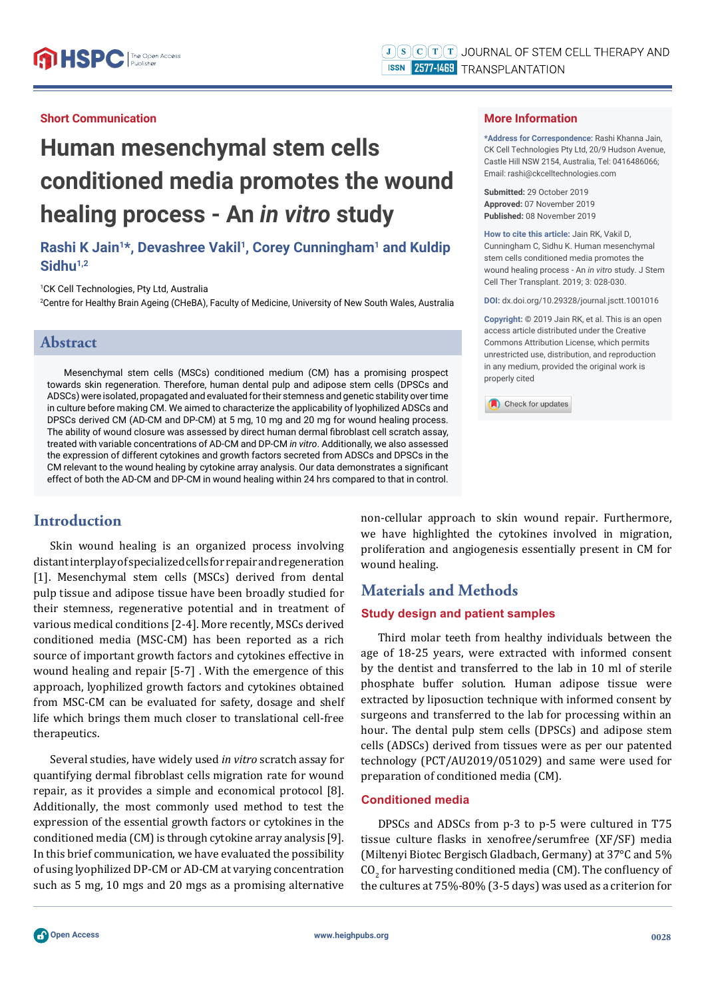### **Short Communication**

# **Human mesenchymal stem cells conditioned media promotes the wound healing process - An** *in vitro* **study**

# Rashi K Jain<sup>1\*</sup>, Devashree Vakil<sup>1</sup>, Corey Cunningham<sup>1</sup> and Kuldip Sidhu<sup>1,2</sup>

1 CK Cell Technologies, Pty Ltd, Australia

2 Centre for Healthy Brain Ageing (CHeBA), Faculty of Medicine, University of New South Wales, Australia

#### **Abstract**

Mesenchymal stem cells (MSCs) conditioned medium (CM) has a promising prospect towards skin regeneration. Therefore, human dental pulp and adipose stem cells (DPSCs and ADSCs) were isolated, propagated and evaluated for their stemness and genetic stability over time in culture before making CM. We aimed to characterize the applicability of lyophilized ADSCs and DPSCs derived CM (AD-CM and DP-CM) at 5 mg, 10 mg and 20 mg for wound healing process. The ability of wound closure was assessed by direct human dermal fibroblast cell scratch assay, treated with variable concentrations of AD-CM and DP-CM *in vitro*. Additionally, we also assessed the expression of different cytokines and growth factors secreted from ADSCs and DPSCs in the CM relevant to the wound healing by cytokine array analysis. Our data demonstrates a significant effect of both the AD-CM and DP-CM in wound healing within 24 hrs compared to that in control.

## **Introduction**

Skin wound healing is an organized process involving distant interplay of specialized cells for repair and regeneration [1]. Mesenchymal stem cells (MSCs) derived from dental pulp tissue and adipose tissue have been broadly studied for their stemness, regenerative potential and in treatment of various medical conditions [2-4]. More recently, MSCs derived conditioned media (MSC-CM) has been reported as a rich source of important growth factors and cytokines effective in wound healing and repair [5-7] . With the emergence of this approach, lyophilized growth factors and cytokines obtained from MSC-CM can be evaluated for safety, dosage and shelf life which brings them much closer to translational cell-free therapeutics.

Several studies, have widely used *in vitro* scratch assay for quantifying dermal fibroblast cells migration rate for wound repair, as it provides a simple and economical protocol [8]. Additionally, the most commonly used method to test the expression of the essential growth factors or cytokines in the conditioned media (CM) is through cytokine array analysis [9]. In this brief communication, we have evaluated the possibility of using lyophilized DP-CM or AD-CM at varying concentration such as 5 mg, 10 mgs and 20 mgs as a promising alternative

#### **More Information**

**\*Address for Correspondence:** Rashi Khanna Jain, CK Cell Technologies Pty Ltd, 20/9 Hudson Avenue, Castle Hill NSW 2154, Australia, Tel: 0416486066; Email: rashi@ckcelltechnologies.com

**Submitted:** 29 October 2019 **Approved:** 07 November 2019 **Published:** 08 November 2019

**How to cite this article:** Jain RK, Vakil D, Cunningham C, Sidhu K. Human mesenchymal stem cells conditioned media promotes the wound healing process - An *in vitro* study. J Stem Cell Ther Transplant. 2019; 3: 028-030.

**DOI:** dx.doi.org/10.29328/journal.jsctt.1001016

**Copyright: ©** 2019 Jain RK, et al. This is an open access article distributed under the Creative Commons Attribution License, which permits unrestricted use, distribution, and reproduction in any medium, provided the original work is properly cited

Check for updates

non-cellular approach to skin wound repair. Furthermore, we have highlighted the cytokines involved in migration, proliferation and angiogenesis essentially present in CM for wound healing.

# **Materials and Methods**

#### **Study design and patient samples**

Third molar teeth from healthy individuals between the age of 18-25 years, were extracted with informed consent by the dentist and transferred to the lab in 10 ml of sterile phosphate buffer solution. Human adipose tissue were extracted by liposuction technique with informed consent by surgeons and transferred to the lab for processing within an hour. The dental pulp stem cells (DPSCs) and adipose stem cells (ADSCs) derived from tissues were as per our patented technology (PCT/AU2019/051029) and same were used for preparation of conditioned media (CM).

#### **Conditioned media**

DPSCs and ADSCs from p-3 to p-5 were cultured in T75 tissue culture flasks in xenofree/serumfree (XF/SF) media (Miltenyi Biotec Bergisch Gladbach, Germany) at 37°C and 5%  $\mathrm{CO}_2$  for harvesting conditioned media (CM). The confluency of the cultures at 75%-80% (3-5 days) was used as a criterion for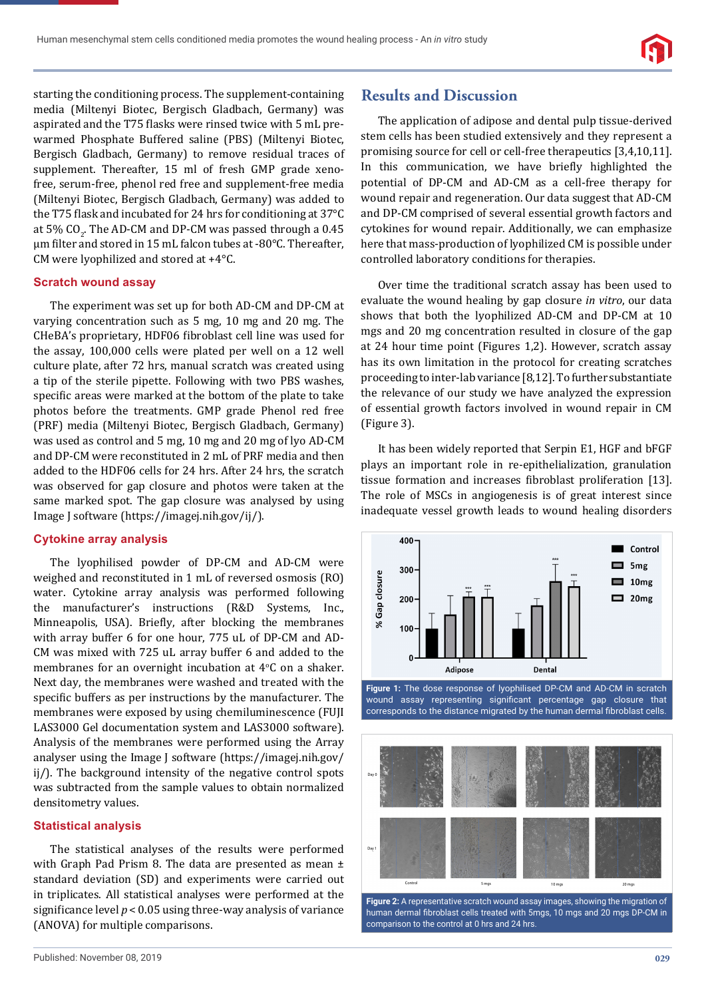starting the conditioning process. The supplement-containing media (Miltenyi Biotec, Bergisch Gladbach, Germany) was aspirated and the T75 flasks were rinsed twice with 5 mL prewarmed Phosphate Buffered saline (PBS) (Miltenyi Biotec, Bergisch Gladbach, Germany) to remove residual traces of supplement. Thereafter, 15 ml of fresh GMP grade xenofree, serum-free, phenol red free and supplement-free media (Miltenyi Biotec, Bergisch Gladbach, Germany) was added to the T75 flask and incubated for 24 hrs for conditioning at 37°C at 5% CO<sub>2</sub>. The AD-CM and DP-CM was passed through a 0.45 μm ϐilter and stored in 15 mL falcon tubes at -80°C. Thereafter, CM were lyophilized and stored at +4°C.

#### **Scratch wound assay**

The experiment was set up for both AD-CM and DP-CM at varying concentration such as 5 mg, 10 mg and 20 mg. The CHeBA's proprietary, HDF06 fibroblast cell line was used for the assay, 100,000 cells were plated per well on a 12 well culture plate, after 72 hrs, manual scratch was created using a tip of the sterile pipette. Following with two PBS washes, specific areas were marked at the bottom of the plate to take photos before the treatments. GMP grade Phenol red free (PRF) media (Miltenyi Biotec, Bergisch Gladbach, Germany) was used as control and 5 mg, 10 mg and 20 mg of lyo AD-CM and DP-CM were reconstituted in 2 mL of PRF media and then added to the HDF06 cells for 24 hrs. After 24 hrs, the scratch was observed for gap closure and photos were taken at the same marked spot. The gap closure was analysed by using Image J software (https://imagej.nih.gov/ij/).

#### **Cytokine array analysis**

The lyophilised powder of DP-CM and AD-CM were weighed and reconstituted in 1 mL of reversed osmosis (RO) water. Cytokine array analysis was performed following the manufacturer's instructions (R&D Systems, Inc., Minneapolis, USA). Briefly, after blocking the membranes with array buffer 6 for one hour, 775 uL of DP-CM and AD-CM was mixed with 725 uL array buffer 6 and added to the membranes for an overnight incubation at 4°C on a shaker. Next day, the membranes were washed and treated with the specific buffers as per instructions by the manufacturer. The membranes were exposed by using chemiluminescence (FUJI LAS3000 Gel documentation system and LAS3000 software). Analysis of the membranes were performed using the Array analyser using the Image J software (https://imagej.nih.gov/ ij/). The background intensity of the negative control spots was subtracted from the sample values to obtain normalized densitometry values.

#### **Statistical analysis**

The statistical analyses of the results were performed with Graph Pad Prism 8. The data are presented as mean  $\pm$ standard deviation (SD) and experiments were carried out in triplicates. All statistical analyses were performed at the significance level  $p < 0.05$  using three-way analysis of variance (ANOVA) for multiple comparisons.

## **Results and Discussion**

The application of adipose and dental pulp tissue-derived stem cells has been studied extensively and they represent a promising source for cell or cell-free therapeutics [3,4,10,11]. In this communication, we have briefly highlighted the potential of DP-CM and AD-CM as a cell-free therapy for wound repair and regeneration. Our data suggest that AD-CM and DP-CM comprised of several essential growth factors and cytokines for wound repair. Additionally, we can emphasize here that mass-production of lyophilized CM is possible under controlled laboratory conditions for therapies.

Over time the traditional scratch assay has been used to evaluate the wound healing by gap closure *in vitro*, our data shows that both the lyophilized AD-CM and DP-CM at 10 mgs and 20 mg concentration resulted in closure of the gap at 24 hour time point (Figures 1,2). However, scratch assay has its own limitation in the protocol for creating scratches proceeding to inter-lab variance [8,12]. To further substantiate the relevance of our study we have analyzed the expression of essential growth factors involved in wound repair in CM (Figure 3).

It has been widely reported that Serpin E1, HGF and bFGF plays an important role in re-epithelialization, granulation tissue formation and increases fibroblast proliferation [13]. The role of MSCs in angiogenesis is of great interest since inadequate vessel growth leads to wound healing disorders



**Figure 1:** The dose response of lyophilised DP-CM and AD-CM in scratch wound assay representing significant percentage gap closure that corresponds to the distance migrated by the human dermal fibroblast cells.



**Figure 2:** A representative scratch wound assay images, showing the migration of human dermal fibroblast cells treated with 5mgs, 10 mgs and 20 mgs DP-CM in comparison to the control at 0 hrs and 24 hrs.